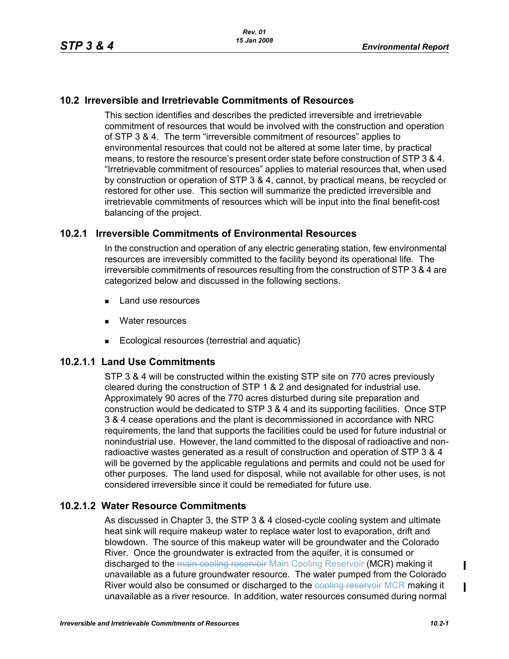## **10.2 Irreversible and Irretrievable Commitments of Resources**

This section identifies and describes the predicted irreversible and irretrievable commitment of resources that would be involved with the construction and operation of STP 3 & 4. The term "irreversible commitment of resources" applies to environmental resources that could not be altered at some later time, by practical means, to restore the resource's present order state before construction of STP 3 & 4. "Irretrievable commitment of resources" applies to material resources that, when used by construction or operation of STP 3 & 4, cannot, by practical means, be recycled or restored for other use. This section will summarize the predicted irreversible and irretrievable commitments of resources which will be input into the final benefit-cost balancing of the project.

### **10.2.1 Irreversible Commitments of Environmental Resources**

In the construction and operation of any electric generating station, few environmental resources are irreversibly committed to the facility beyond its operational life. The irreversible commitments of resources resulting from the construction of STP 3 & 4 are categorized below and discussed in the following sections.

- Land use resources
- **Nater resources**
- Ecological resources (terrestrial and aquatic)

#### **10.2.1.1 Land Use Commitments**

STP 3 & 4 will be constructed within the existing STP site on 770 acres previously cleared during the construction of STP 1 & 2 and designated for industrial use. Approximately 90 acres of the 770 acres disturbed during site preparation and construction would be dedicated to STP 3 & 4 and its supporting facilities. Once STP 3 & 4 cease operations and the plant is decommissioned in accordance with NRC requirements, the land that supports the facilities could be used for future industrial or nonindustrial use. However, the land committed to the disposal of radioactive and nonradioactive wastes generated as a result of construction and operation of STP 3 & 4 will be governed by the applicable regulations and permits and could not be used for other purposes. The land used for disposal, while not available for other uses, is not considered irreversible since it could be remediated for future use.

#### **10.2.1.2 Water Resource Commitments**

As discussed in Chapter 3, the STP 3 & 4 closed-cycle cooling system and ultimate heat sink will require makeup water to replace water lost to evaporation, drift and blowdown. The source of this makeup water will be groundwater and the Colorado River. Once the groundwater is extracted from the aquifer, it is consumed or discharged to the main cooling reservoir Main Cooling Reservoir (MCR) making it unavailable as a future groundwater resource. The water pumped from the Colorado River would also be consumed or discharged to the cooling reservoir MCR making it unavailable as a river resource. In addition, water resources consumed during normal

I

 $\mathbf I$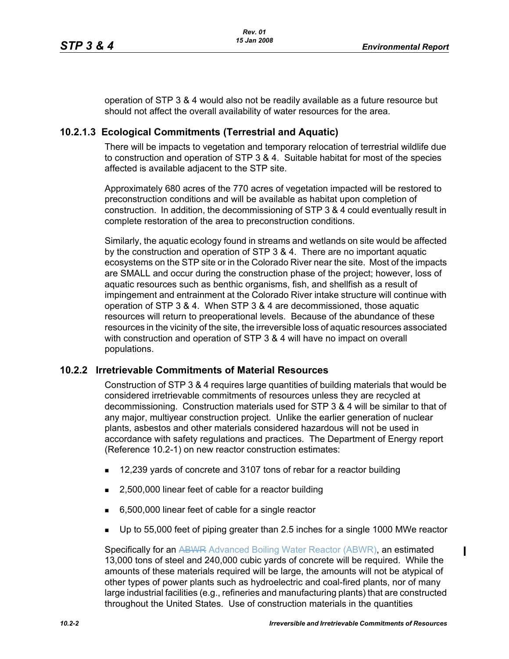operation of STP 3 & 4 would also not be readily available as a future resource but should not affect the overall availability of water resources for the area.

# **10.2.1.3 Ecological Commitments (Terrestrial and Aquatic)**

There will be impacts to vegetation and temporary relocation of terrestrial wildlife due to construction and operation of STP 3 & 4. Suitable habitat for most of the species affected is available adjacent to the STP site.

Approximately 680 acres of the 770 acres of vegetation impacted will be restored to preconstruction conditions and will be available as habitat upon completion of construction. In addition, the decommissioning of STP 3 & 4 could eventually result in complete restoration of the area to preconstruction conditions.

Similarly, the aquatic ecology found in streams and wetlands on site would be affected by the construction and operation of STP 3 & 4. There are no important aquatic ecosystems on the STP site or in the Colorado River near the site. Most of the impacts are SMALL and occur during the construction phase of the project; however, loss of aquatic resources such as benthic organisms, fish, and shellfish as a result of impingement and entrainment at the Colorado River intake structure will continue with operation of STP 3 & 4. When STP 3 & 4 are decommissioned, those aquatic resources will return to preoperational levels. Because of the abundance of these resources in the vicinity of the site, the irreversible loss of aquatic resources associated with construction and operation of STP 3 & 4 will have no impact on overall populations.

## **10.2.2 Irretrievable Commitments of Material Resources**

Construction of STP 3 & 4 requires large quantities of building materials that would be considered irretrievable commitments of resources unless they are recycled at decommissioning. Construction materials used for STP 3 & 4 will be similar to that of any major, multiyear construction project. Unlike the earlier generation of nuclear plants, asbestos and other materials considered hazardous will not be used in accordance with safety regulations and practices. The Department of Energy report (Reference 10.2-1) on new reactor construction estimates:

- 12,239 yards of concrete and 3107 tons of rebar for a reactor building
- 2,500,000 linear feet of cable for a reactor building
- 6,500,000 linear feet of cable for a single reactor
- Up to 55,000 feet of piping greater than 2.5 inches for a single 1000 MWe reactor

Specifically for an ABWR Advanced Boiling Water Reactor (ABWR), an estimated 13,000 tons of steel and 240,000 cubic yards of concrete will be required. While the amounts of these materials required will be large, the amounts will not be atypical of other types of power plants such as hydroelectric and coal-fired plants, nor of many large industrial facilities (e.g., refineries and manufacturing plants) that are constructed throughout the United States. Use of construction materials in the quantities

 $\mathbf I$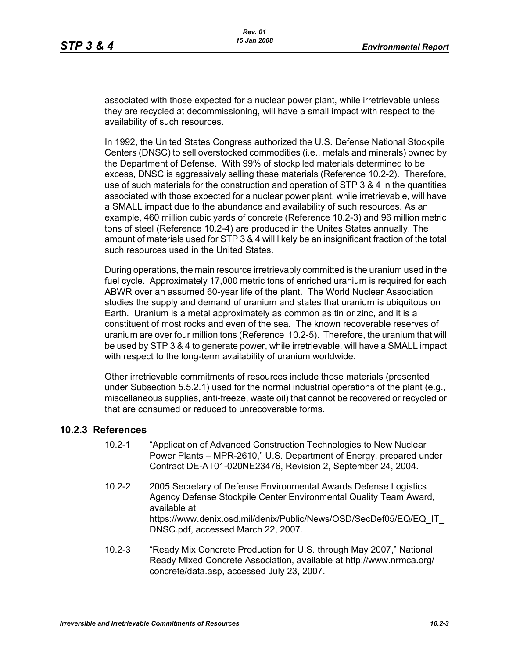associated with those expected for a nuclear power plant, while irretrievable unless they are recycled at decommissioning, will have a small impact with respect to the availability of such resources.

In 1992, the United States Congress authorized the U.S. Defense National Stockpile Centers (DNSC) to sell overstocked commodities (i.e., metals and minerals) owned by the Department of Defense. With 99% of stockpiled materials determined to be excess, DNSC is aggressively selling these materials (Reference 10.2-2). Therefore, use of such materials for the construction and operation of STP 3 & 4 in the quantities associated with those expected for a nuclear power plant, while irretrievable, will have a SMALL impact due to the abundance and availability of such resources. As an example, 460 million cubic yards of concrete (Reference 10.2-3) and 96 million metric tons of steel (Reference 10.2-4) are produced in the Unites States annually. The amount of materials used for STP 3 & 4 will likely be an insignificant fraction of the total such resources used in the United States.

During operations, the main resource irretrievably committed is the uranium used in the fuel cycle. Approximately 17,000 metric tons of enriched uranium is required for each ABWR over an assumed 60-year life of the plant. The World Nuclear Association studies the supply and demand of uranium and states that uranium is ubiquitous on Earth. Uranium is a metal approximately as common as tin or zinc, and it is a constituent of most rocks and even of the sea. The known recoverable reserves of uranium are over four million tons (Reference 10.2-5). Therefore, the uranium that will be used by STP 3 & 4 to generate power, while irretrievable, will have a SMALL impact with respect to the long-term availability of uranium worldwide.

Other irretrievable commitments of resources include those materials (presented under Subsection 5.5.2.1) used for the normal industrial operations of the plant (e.g., miscellaneous supplies, anti-freeze, waste oil) that cannot be recovered or recycled or that are consumed or reduced to unrecoverable forms.

## **10.2.3 References**

- 10.2-1 "Application of Advanced Construction Technologies to New Nuclear Power Plants – MPR-2610," U.S. Department of Energy, prepared under Contract DE-AT01-020NE23476, Revision 2, September 24, 2004.
- 10.2-2 2005 Secretary of Defense Environmental Awards Defense Logistics Agency Defense Stockpile Center Environmental Quality Team Award, available at https://www.denix.osd.mil/denix/Public/News/OSD/SecDef05/EQ/EQ\_IT DNSC.pdf, accessed March 22, 2007.
- 10.2-3 "Ready Mix Concrete Production for U.S. through May 2007," National Ready Mixed Concrete Association, available at http://www.nrmca.org/ concrete/data.asp, accessed July 23, 2007.